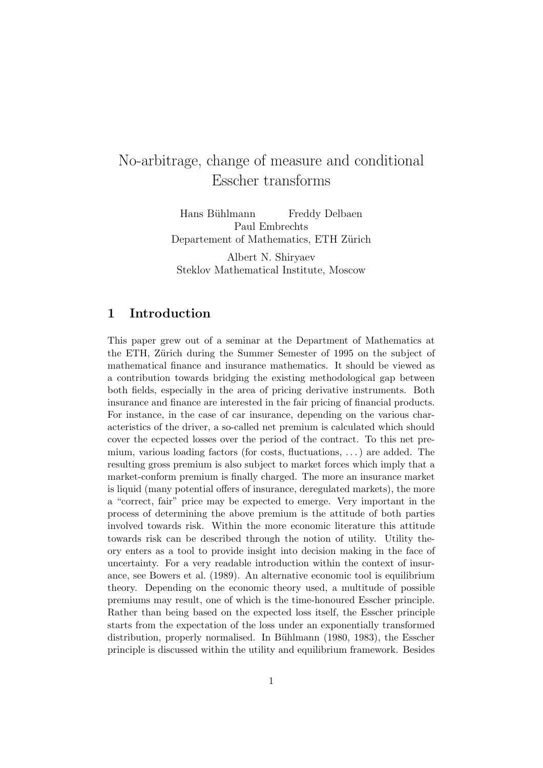# No-arbitrage, change of measure and conditional Esscher transforms

Hans Bühlmann Freddy Delbaen Paul Embrechts Departement of Mathematics, ETH Zürich

Albert N. Shiryaev Steklov Mathematical Institute, Moscow

## **1 Introduction**

This paper grew out of a seminar at the Department of Mathematics at the ETH, Zürich during the Summer Semester of 1995 on the subject of mathematical finance and insurance mathematics. It should be viewed as a contribution towards bridging the existing methodological gap between both fields, especially in the area of pricing derivative instruments. Both insurance and finance are interested in the fair pricing of financial products. For instance, in the case of car insurance, depending on the various characteristics of the driver, a so-called net premium is calculated which should cover the ecpected losses over the period of the contract. To this net premium, various loading factors (for costs, fluctuations, *...*) are added. The resulting gross premium is also subject to market forces which imply that a market-conform premium is finally charged. The more an insurance market is liquid (many potential offers of insurance, deregulated markets), the more a "correct, fair" price may be expected to emerge. Very important in the process of determining the above premium is the attitude of both parties involved towards risk. Within the more economic literature this attitude towards risk can be described through the notion of utility. Utility theory enters as a tool to provide insight into decision making in the face of uncertainty. For a very readable introduction within the context of insurance, see Bowers et al. (1989). An alternative economic tool is equilibrium theory. Depending on the economic theory used, a multitude of possible premiums may result, one of which is the time-honoured Esscher principle. Rather than being based on the expected loss itself, the Esscher principle starts from the expectation of the loss under an exponentially transformed distribution, properly normalised. In Bühlmann (1980, 1983), the Esscher principle is discussed within the utility and equilibrium framework. Besides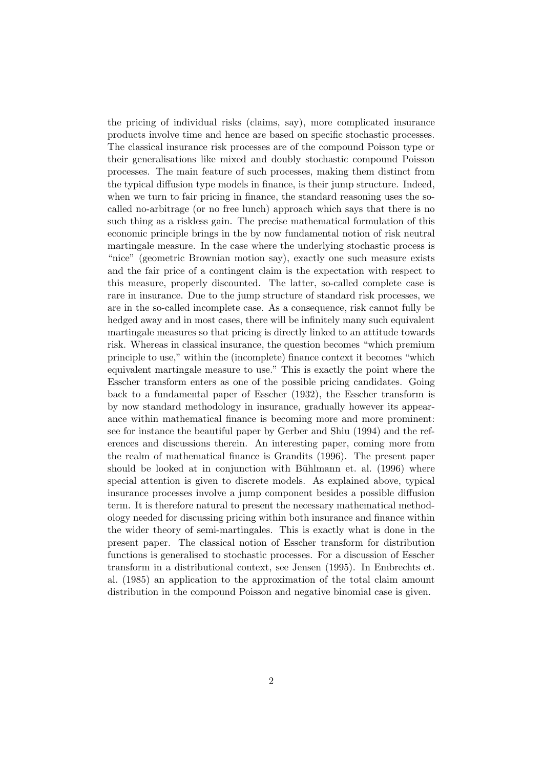the pricing of individual risks (claims, say), more complicated insurance products involve time and hence are based on specific stochastic processes. The classical insurance risk processes are of the compound Poisson type or their generalisations like mixed and doubly stochastic compound Poisson processes. The main feature of such processes, making them distinct from the typical diffusion type models in finance, is their jump structure. Indeed, when we turn to fair pricing in finance, the standard reasoning uses the socalled no-arbitrage (or no free lunch) approach which says that there is no such thing as a riskless gain. The precise mathematical formulation of this economic principle brings in the by now fundamental notion of risk neutral martingale measure. In the case where the underlying stochastic process is "nice" (geometric Brownian motion say), exactly one such measure exists and the fair price of a contingent claim is the expectation with respect to this measure, properly discounted. The latter, so-called complete case is rare in insurance. Due to the jump structure of standard risk processes, we are in the so-called incomplete case. As a consequence, risk cannot fully be hedged away and in most cases, there will be infinitely many such equivalent martingale measures so that pricing is directly linked to an attitude towards risk. Whereas in classical insurance, the question becomes "which premium principle to use," within the (incomplete) finance context it becomes "which equivalent martingale measure to use." This is exactly the point where the Esscher transform enters as one of the possible pricing candidates. Going back to a fundamental paper of Esscher (1932), the Esscher transform is by now standard methodology in insurance, gradually however its appearance within mathematical finance is becoming more and more prominent: see for instance the beautiful paper by Gerber and Shiu (1994) and the references and discussions therein. An interesting paper, coming more from the realm of mathematical finance is Grandits (1996). The present paper should be looked at in conjunction with Bühlmann et. al. (1996) where special attention is given to discrete models. As explained above, typical insurance processes involve a jump component besides a possible diffusion term. It is therefore natural to present the necessary mathematical methodology needed for discussing pricing within both insurance and finance within the wider theory of semi-martingales. This is exactly what is done in the present paper. The classical notion of Esscher transform for distribution functions is generalised to stochastic processes. For a discussion of Esscher transform in a distributional context, see Jensen (1995). In Embrechts et. al. (1985) an application to the approximation of the total claim amount distribution in the compound Poisson and negative binomial case is given.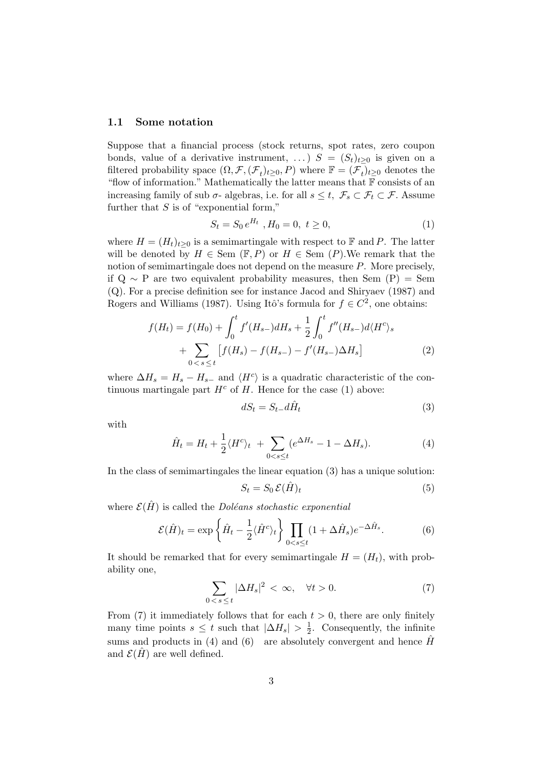#### **1.1 Some notation**

Suppose that a financial process (stock returns, spot rates, zero coupon bonds, value of a derivative instrument, ...)  $S = (S_t)_{t>0}$  is given on a filtered probability space  $(\Omega, \mathcal{F}, (\mathcal{F}_t)_{t\geq 0}, P)$  where  $\mathbb{F} = (\mathcal{F}_t)_{t\geq 0}$  denotes the "flow of information." Mathematically the latter means that  $F$  consists of an increasing family of sub  $\sigma$ - algebras, i.e. for all  $s \leq t$ ,  $\mathcal{F}_s \subset \mathcal{F}_t \subset \mathcal{F}$ . Assume further that *S* is of "exponential form,"

$$
S_t = S_0 e^{H_t}, H_0 = 0, t \ge 0,
$$
\n(1)

where  $H = (H_t)_{t>0}$  is a semimartingale with respect to F and P. The latter will be denoted by  $H \in \text{Sem } (\mathbb{F}, P)$  or  $H \in \text{Sem } (P)$ . We remark that the notion of semimartingale does not depend on the measure *P*. More precisely, if  $Q \sim P$  are two equivalent probability measures, then Sem (P) = Sem (Q). For a precise definition see for instance Jacod and Shiryaev (1987) and Rogers and Williams (1987). Using Itô's formula for  $f \in C^2$ , one obtains:

$$
f(H_t) = f(H_0) + \int_0^t f'(H_{s-})dH_s + \frac{1}{2} \int_0^t f''(H_{s-})d\langle H^c \rangle_s
$$
  
+ 
$$
\sum_{0 < s \le t} \left[ f(H_s) - f(H_{s-}) - f'(H_{s-})\Delta H_s \right]
$$
(2)

where  $\Delta H_s = H_s - H_{s-}$  and  $\langle H^c \rangle$  is a quadratic characteristic of the continuous martingale part  $H^c$  of *H*. Hence for the case (1) above:

$$
dS_t = S_{t-}d\hat{H}_t
$$
\n<sup>(3)</sup>

with

$$
\hat{H}_t = H_t + \frac{1}{2} \langle H^c \rangle_t + \sum_{0 < s \le t} (e^{\Delta H_s} - 1 - \Delta H_s). \tag{4}
$$

In the class of semimartingales the linear equation (3) has a unique solution:

$$
S_t = S_0 \mathcal{E}(\hat{H})_t \tag{5}
$$

where  $\mathcal{E}(\hat{H})$  is called the *Doléans stochastic exponential* 

$$
\mathcal{E}(\hat{H})_t = \exp\left\{\hat{H}_t - \frac{1}{2}\langle\hat{H}^c\rangle_t\right\} \prod_{0 < s \le t} (1 + \Delta \hat{H}_s)e^{-\Delta \hat{H}_s}.\tag{6}
$$

It should be remarked that for every semimartingale  $H = (H_t)$ , with probability one,

$$
\sum_{0 < s \le t} |\Delta H_s|^2 < \infty, \quad \forall t > 0. \tag{7}
$$

From (7) it immediately follows that for each  $t > 0$ , there are only finitely many time points  $s \leq t$  such that  $|\Delta H_s| > \frac{1}{2}$ . Consequently, the infinite sums and products in (4) and (6) are absolutely convergent and hence  $\hat{H}$ and  $\mathcal{E}(\hat{H})$  are well defined.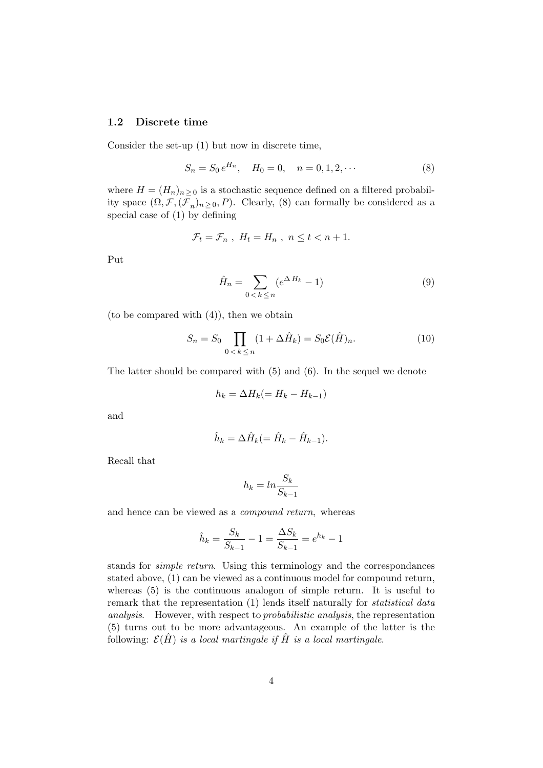#### **1.2 Discrete time**

Consider the set-up (1) but now in discrete time,

$$
S_n = S_0 e^{H_n}, \quad H_0 = 0, \quad n = 0, 1, 2, \cdots \tag{8}
$$

where  $H = (H_n)_{n>0}$  is a stochastic sequence defined on a filtered probability space  $(\Omega, \mathcal{F}, (\mathcal{F}_n)_{n \geq 0}, P)$ . Clearly, (8) can formally be considered as a special case of (1) by defining

$$
\mathcal{F}_t = \mathcal{F}_n \ , \ H_t = H_n \ , \ n \leq t < n+1.
$$

Put

$$
\hat{H}_n = \sum_{0 < k \le n} (e^{\Delta H_k} - 1) \tag{9}
$$

(to be compared with (4)), then we obtain

$$
S_n = S_0 \prod_{0 < k \le n} (1 + \Delta \hat{H}_k) = S_0 \mathcal{E}(\hat{H})_n. \tag{10}
$$

The latter should be compared with (5) and (6). In the sequel we denote

$$
h_k = \Delta H_k (= H_k - H_{k-1})
$$

and

$$
\hat{h}_k = \Delta \hat{H}_k (= \hat{H}_k - \hat{H}_{k-1}).
$$

Recall that

$$
h_k = \ln \frac{S_k}{S_{k-1}}
$$

and hence can be viewed as a compound return, whereas

$$
\hat{h}_k = \frac{S_k}{S_{k-1}} - 1 = \frac{\Delta S_k}{S_{k-1}} = e^{h_k} - 1
$$

stands for simple return. Using this terminology and the correspondances stated above, (1) can be viewed as a continuous model for compound return, whereas (5) is the continuous analogon of simple return. It is useful to remark that the representation (1) lends itself naturally for *statistical data* analysis. However, with respect to probabilistic analysis, the representation (5) turns out to be more advantageous. An example of the latter is the following:  $\mathcal{E}(\hat{H})$  is a local martingale if  $\hat{H}$  is a local martingale.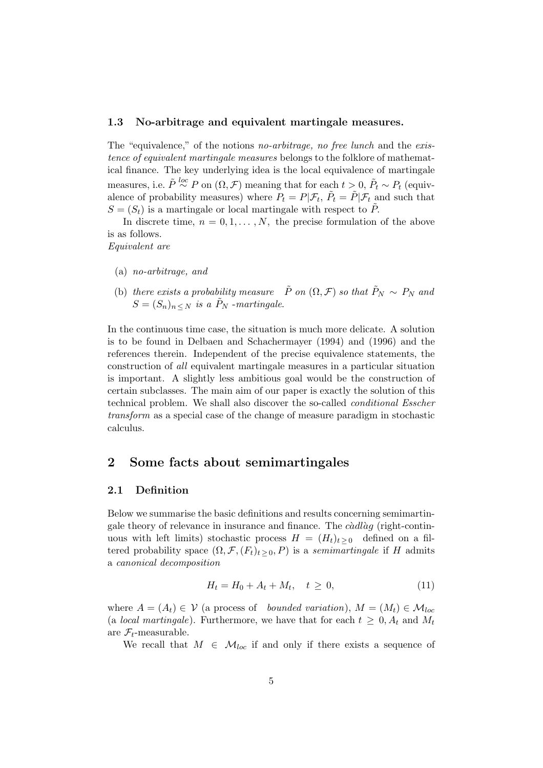#### **1.3 No-arbitrage and equivalent martingale measures.**

The "equivalence," of the notions no-arbitrage, no free lunch and the existence of equivalent martingale measures belongs to the folklore of mathematical finance. The key underlying idea is the local equivalence of martingale  $\sum_{i=1}^{\infty} P_i \sim P_i$  (equiv-<br>*P*<sub>t</sub> (equivalence of probability measures) where  $P_t = P|\mathcal{F}_t, \tilde{P}_t = \tilde{P}|\mathcal{F}_t$  and such that  $S = (S_t)$  is a martingale or local martingale with respect to  $\tilde{P}$ .

In discrete time,  $n = 0, 1, \ldots, N$ , the precise formulation of the above is as follows.

Equivalent are

- (a) no-arbitrage, and
- (b) there exists a probability measure  $\tilde{P}$  on  $(\Omega, \mathcal{F})$  so that  $\tilde{P}_N \sim P_N$  and  $S = (S_n)_{n \leq N}$  is a  $\tilde{P}_N$  -martingale.

In the continuous time case, the situation is much more delicate. A solution is to be found in Delbaen and Schachermayer (1994) and (1996) and the references therein. Independent of the precise equivalence statements, the construction of all equivalent martingale measures in a particular situation is important. A slightly less ambitious goal would be the construction of certain subclasses. The main aim of our paper is exactly the solution of this technical problem. We shall also discover the so-called conditional Esscher transform as a special case of the change of measure paradigm in stochastic calculus.

## **2 Some facts about semimartingales**

#### **2.1 Definition**

Below we summarise the basic definitions and results concerning semimartingale theory of relevance in insurance and finance. The *cadlag* (right-continuous with left limits) stochastic process  $H = (H_t)_{t>0}$  defined on a filtered probability space  $(\Omega, \mathcal{F}, (F_t)_{t \geq 0}, P)$  is a *semimartingale* if *H* admits a canonical decomposition

$$
H_t = H_0 + A_t + M_t, \quad t \ge 0,
$$
\n(11)

where  $A = (A_t) \in V$  (a process of bounded variation),  $M = (M_t) \in \mathcal{M}_{loc}$ (a *local martingale*). Furthermore, we have that for each  $t \geq 0$ ,  $A_t$  and  $M_t$ are  $\mathcal{F}_t$ -measurable.

We recall that  $M \in \mathcal{M}_{loc}$  if and only if there exists a sequence of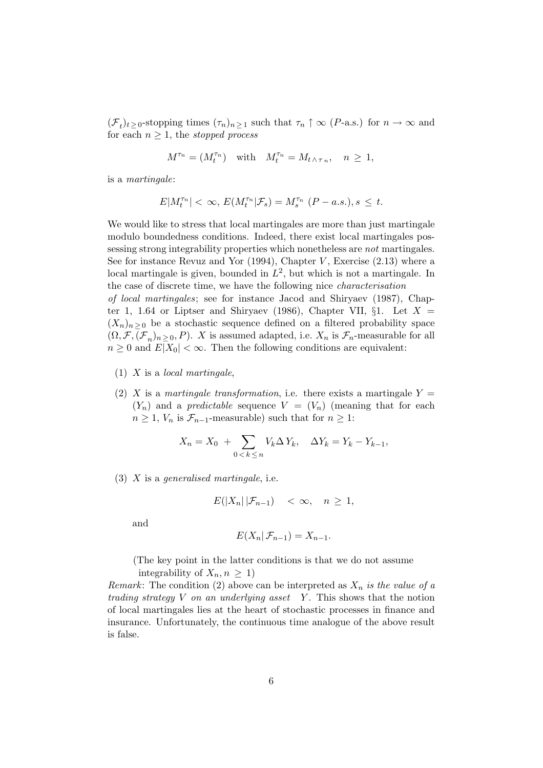$(\mathcal{F}_t)_{t \geq 0}$ -stopping times  $(\tau_n)_{n \geq 1}$  such that  $\tau_n \uparrow \infty$  (*P*-a.s.) for  $n \to \infty$  and for each  $n \geq 1$ , the *stopped process* 

$$
M^{\tau_n}=(M^{\tau_n}_t)\quad\text{with}\quad M^{\tau_n}_t=M_{t\,\wedge\,\tau_n},\quad n\,\geq\,1,
$$

is a martingale:

$$
E|M_t^{\tau_n}| < \infty, \, E(M_t^{\tau_n}|\mathcal{F}_s) = M_s^{\tau_n} \, (P-a.s.), s \leq t.
$$

We would like to stress that local martingales are more than just martingale modulo boundedness conditions. Indeed, there exist local martingales possessing strong integrability properties which nonetheless are not martingales. See for instance Revuz and Yor (1994), Chapter *V* , Exercise (2*.*13) where a local martingale is given, bounded in  $L^2$ , but which is not a martingale. In the case of discrete time, we have the following nice characterisation

of local martingales; see for instance Jacod and Shiryaev (1987), Chapter 1, 1.64 or Liptser and Shiryaev (1986), Chapter VII,  $\S1$ . Let  $X =$  $(X_n)_{n>0}$  be a stochastic sequence defined on a filtered probability space  $(\Omega, \mathcal{F}, (\mathcal{F}_n)_{n>0}, P)$ . *X* is assumed adapted, i.e.  $X_n$  is  $\mathcal{F}_n$ -measurable for all  $n \geq 0$  and  $E|X_0| < \infty$ . Then the following conditions are equivalent:

- (1) *X* is a local martingale,
- (2) *X* is a martingale transformation, i.e. there exists a martingale  $Y =$  $(Y_n)$  and a *predictable* sequence  $V = (V_n)$  (meaning that for each  $n \geq 1$ ,  $V_n$  is  $\mathcal{F}_{n-1}$ -measurable) such that for  $n \geq 1$ :

$$
X_n = X_0 + \sum_{0 < k \le n} V_k \Delta Y_k, \quad \Delta Y_k = Y_k - Y_{k-1},
$$

(3) *X* is a generalised martingale, i.e.

$$
E(|X_n|\,|\mathcal{F}_{n-1}) < \infty, \quad n \ge 1,
$$

and

$$
E(X_n | \mathcal{F}_{n-1}) = X_{n-1}.
$$

(The key point in the latter conditions is that we do not assume integrability of  $X_n, n \geq 1$ 

*Remark*: The condition (2) above can be interpreted as  $X_n$  is the value of a trading strategy *V* on an underlying asset *Y* . This shows that the notion of local martingales lies at the heart of stochastic processes in finance and insurance. Unfortunately, the continuous time analogue of the above result is false.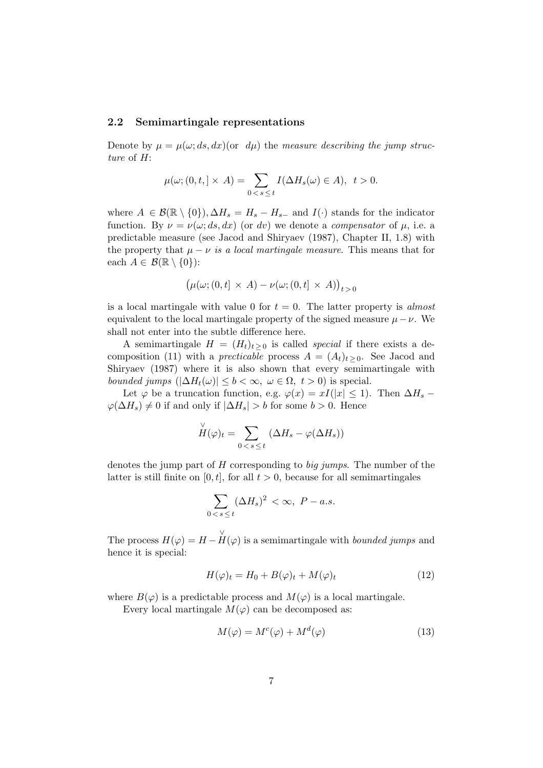#### **2.2 Semimartingale representations**

Denote by  $\mu = \mu(\omega; ds, dx)$  (or  $d\mu$ ) the measure describing the jump structure of *H*:

$$
\mu(\omega; (0, t, ] \times A) = \sum_{0 < s \leq t} I(\Delta H_s(\omega) \in A), \quad t > 0.
$$

where  $A \in \mathcal{B}(\mathbb{R} \setminus \{0\}), \Delta H_s = H_s - H_{s-}$  and  $I(\cdot)$  stands for the indicator function. By  $\nu = \nu(\omega; ds, dx)$  (or *dv*) we denote a *compensator* of  $\mu$ , i.e. a predictable measure (see Jacod and Shiryaev (1987), Chapter II, 1.8) with the property that  $\mu - \nu$  is a local martingale measure. This means that for each  $A \in \mathcal{B}(\mathbb{R} \setminus \{0\})$ :

$$
(\mu(\omega; (0, t] \times A) - \nu(\omega; (0, t] \times A))_{t>0}
$$

is a local martingale with value 0 for  $t = 0$ . The latter property is *almost* equivalent to the local martingale property of the signed measure  $\mu - \nu$ . We shall not enter into the subtle difference here.

A semimartingale  $H = (H_t)_{t>0}$  is called *special* if there exists a decomposition (11) with a *precticable* process  $A = (A_t)_{t>0}$ . See Jacod and Shiryaev (1987) where it is also shown that every semimartingale with *bounded jumps*  $(|\Delta H_t(\omega)| \leq b < \infty, \ \omega \in \Omega, \ t > 0)$  is special.

Let  $\varphi$  be a truncation function, e.g.  $\varphi(x) = xI(|x| \leq 1)$ . Then  $\Delta H_s$  –  $\varphi(\Delta H_s) \neq 0$  if and only if  $|\Delta H_s| > b$  for some *b* > 0. Hence

$$
\check{H}(\varphi)_t = \sum_{0 < s \leq t} (\Delta H_s - \varphi(\Delta H_s))
$$

denotes the jump part of *H* corresponding to big jumps. The number of the latter is still finite on  $[0, t]$ , for all  $t > 0$ , because for all semimartingales

$$
\sum_{0 < s \le t} (\Delta H_s)^2 < \infty, \ P - a.s.
$$

The process  $H(\varphi) = H - \overline{H}(\varphi)$  is a semimartingale with *bounded jumps* and hence it is special:

$$
H(\varphi)_t = H_0 + B(\varphi)_t + M(\varphi)_t \tag{12}
$$

where  $B(\varphi)$  is a predictable process and  $M(\varphi)$  is a local martingale.

Every local martingale  $M(\varphi)$  can be decomposed as:

$$
M(\varphi) = M^c(\varphi) + M^d(\varphi) \tag{13}
$$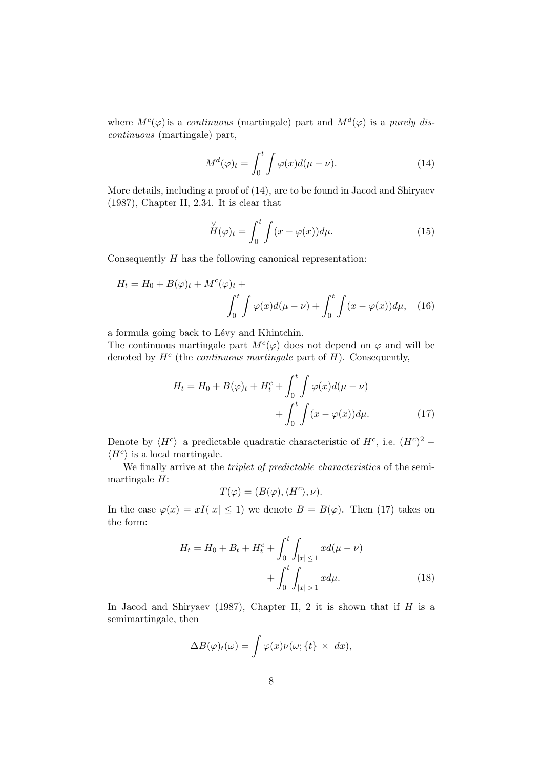where  $M^c(\varphi)$  is a *continuous* (martingale) part and  $M^d(\varphi)$  is a *purely dis*continuous (martingale) part,

$$
M^{d}(\varphi)_{t} = \int_{0}^{t} \int \varphi(x) d(\mu - \nu).
$$
 (14)

More details, including a proof of (14), are to be found in Jacod and Shiryaev (1987), Chapter II, 2*.*34. It is clear that

$$
\stackrel{\vee}{H}(\varphi)_t = \int_0^t \int (x - \varphi(x)) d\mu. \tag{15}
$$

Consequently *H* has the following canonical representation:

$$
H_t = H_0 + B(\varphi)_t + M^c(\varphi)_t + \int_0^t \int \varphi(x) d(\mu - \nu) + \int_0^t \int (x - \varphi(x)) d\mu, \quad (16)
$$

a formula going back to Lévy and Khintchin.

The continuous martingale part  $M^c(\varphi)$  does not depend on  $\varphi$  and will be denoted by  $H^c$  (the *continuous martingale* part of  $H$ ). Consequently,

$$
H_t = H_0 + B(\varphi)_t + H_t^c + \int_0^t \int \varphi(x) d(\mu - \nu)
$$

$$
+ \int_0^t \int (x - \varphi(x)) d\mu.
$$
 (17)

Denote by  $\langle H^c \rangle$  a predictable quadratic characteristic of  $H^c$ , i.e.  $(H^c)^2$  −  $\langle H^c \rangle$  is a local martingale.

We finally arrive at the *triplet of predictable characteristics* of the semimartingale *H*:

$$
T(\varphi) = (B(\varphi), \langle H^c \rangle, \nu).
$$

In the case  $\varphi(x) = xI(|x| \leq 1)$  we denote  $B = B(\varphi)$ . Then (17) takes on the form:

$$
H_t = H_0 + B_t + H_t^c + \int_0^t \int_{|x| \le 1} x d(\mu - \nu) + \int_0^t \int_{|x| > 1} x d\mu.
$$
 (18)

In Jacod and Shiryaev (1987), Chapter II, 2 it is shown that if *H* is a semimartingale, then

$$
\Delta B(\varphi)_t(\omega) = \int \varphi(x)\nu(\omega;\{t\} \times dx),
$$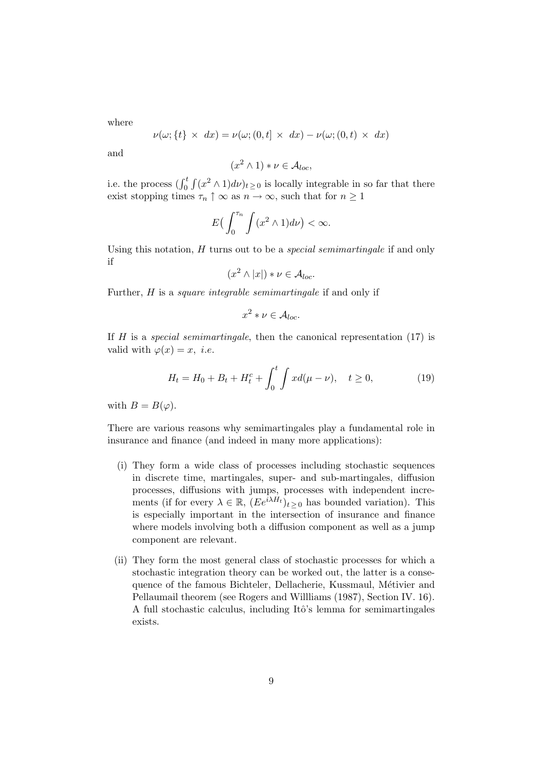where

$$
\nu(\omega;\{t\} \times dx) = \nu(\omega;(0,t] \times dx) - \nu(\omega;(0,t) \times dx)
$$

and

$$
(x^2 \wedge 1) * \nu \in \mathcal{A}_{loc},
$$

i.e. the process  $(\int_0^t \int (x^2 \wedge 1) d\nu)_{t \geq 0}$  is locally integrable in so far that there exist stopping times  $\tau_n \uparrow \infty$  as  $n \to \infty$ , such that for  $n \geq 1$ 

$$
E\left(\int_0^{\tau_n}\int (x^2\wedge 1)d\nu\right)<\infty.
$$

Using this notation, *H* turns out to be a special semimartingale if and only if

$$
(x^2 \wedge |x|) * \nu \in \mathcal{A}_{loc}.
$$

Further, *H* is a *square integrable semimartingale* if and only if

$$
x^2 * \nu \in \mathcal{A}_{loc}.
$$

If *H* is a special semimartingale, then the canonical representation (17) is valid with  $\varphi(x) = x$ , *i.e.* 

$$
H_t = H_0 + B_t + H_t^c + \int_0^t \int x d(\mu - \nu), \quad t \ge 0,
$$
 (19)

with  $B = B(\varphi)$ .

There are various reasons why semimartingales play a fundamental role in insurance and finance (and indeed in many more applications):

- (i) They form a wide class of processes including stochastic sequences in discrete time, martingales, super- and sub-martingales, diffusion processes, diffusions with jumps, processes with independent increments (if for every  $\lambda \in \mathbb{R}$ ,  $(Ee^{i\lambda H_t})_{t \geq 0}$  has bounded variation). This is especially important in the intersection of insurance and finance where models involving both a diffusion component as well as a jump component are relevant.
- (ii) They form the most general class of stochastic processes for which a stochastic integration theory can be worked out, the latter is a consequence of the famous Bichteler, Dellacherie, Kussmaul, Métivier and Pellaumail theorem (see Rogers and Willliams (1987), Section IV. 16). A full stochastic calculus, including Itô's lemma for semimartingales exists.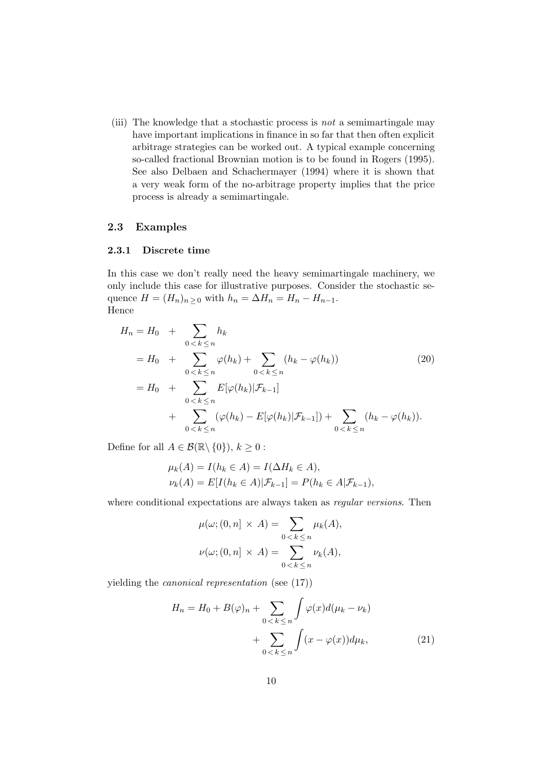(iii) The knowledge that a stochastic process is not a semimartingale may have important implications in finance in so far that then often explicit arbitrage strategies can be worked out. A typical example concerning so-called fractional Brownian motion is to be found in Rogers (1995). See also Delbaen and Schachermayer (1994) where it is shown that a very weak form of the no-arbitrage property implies that the price process is already a semimartingale.

## **2.3 Examples**

#### **2.3.1 Discrete time**

In this case we don't really need the heavy semimartingale machinery, we only include this case for illustrative purposes. Consider the stochastic sequence  $H = (H_n)_{n \geq 0}$  with  $h_n = \Delta H_n = H_n - H_{n-1}$ . Hence

$$
H_n = H_0 + \sum_{0 < k \le n} h_k
$$
\n
$$
= H_0 + \sum_{0 < k \le n} \varphi(h_k) + \sum_{0 < k \le n} (h_k - \varphi(h_k)) \tag{20}
$$
\n
$$
= H_0 + \sum_{0 < k \le n} E[\varphi(h_k)|\mathcal{F}_{k-1}] + \sum_{0 < k \le n} (\varphi(h_k) - E[\varphi(h_k)|\mathcal{F}_{k-1}]) + \sum_{0 < k \le n} (h_k - \varphi(h_k)).
$$

Define for all  $A \in \mathcal{B}(\mathbb{R} \setminus \{0\}), k \geq 0$ :

$$
\mu_k(A) = I(h_k \in A) = I(\Delta H_k \in A),
$$
  

$$
\nu_k(A) = E[I(h_k \in A)|\mathcal{F}_{k-1}] = P(h_k \in A|\mathcal{F}_{k-1}),
$$

where conditional expectations are always taken as regular versions. Then

$$
\mu(\omega; (0, n] \times A) = \sum_{0 < k \le n} \mu_k(A),
$$
\n
$$
\nu(\omega; (0, n] \times A) = \sum_{0 < k \le n} \nu_k(A),
$$

yielding the canonical representation (see (17))

$$
H_n = H_0 + B(\varphi)_n + \sum_{0 < k \le n} \int \varphi(x) d(\mu_k - \nu_k) + \sum_{0 < k \le n} \int (x - \varphi(x)) d\mu_k,\tag{21}
$$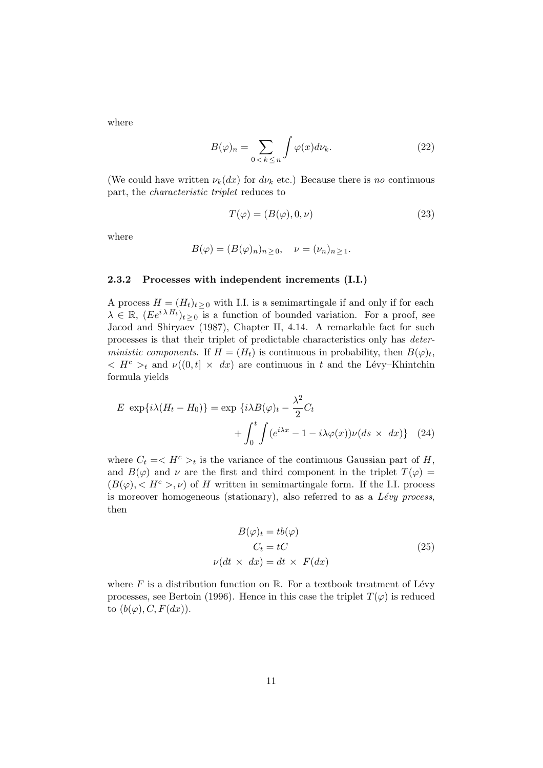where

$$
B(\varphi)_n = \sum_{0 < k \le n} \int \varphi(x) d\nu_k. \tag{22}
$$

(We could have written  $\nu_k(dx)$  for  $d\nu_k$  etc.) Because there is no continuous part, the characteristic triplet reduces to

$$
T(\varphi) = (B(\varphi), 0, \nu) \tag{23}
$$

where

$$
B(\varphi) = (B(\varphi)_n)_{n \ge 0}, \quad \nu = (\nu_n)_{n \ge 1}.
$$

#### **2.3.2 Processes with independent increments (I.I.)**

A process  $H = (H_t)_{t>0}$  with I.I. is a semimartingale if and only if for each  $\lambda \in \mathbb{R}$ ,  $(Ee^{i\lambda H_t})_{t>0}$  is a function of bounded variation. For a proof, see Jacod and Shiryaev (1987), Chapter II, 4.14. A remarkable fact for such processes is that their triplet of predictable characteristics only has deterministic components. If  $H = (H_t)$  is continuous in probability, then  $B(\varphi)_t$ ,  $\langle H^c \rangle_t$  and  $\nu((0,t] \times dx)$  are continuous in *t* and the Lévy–Khintchin formula yields

$$
E \exp\{i\lambda(H_t - H_0)\} = \exp\{i\lambda B(\varphi)_t - \frac{\lambda^2}{2}C_t + \int_0^t \int (e^{i\lambda x} - 1 - i\lambda \varphi(x))\nu(ds \times dx)\} \quad (24)
$$

where  $C_t = \langle H^c \rangle_t$  is the variance of the continuous Gaussian part of *H*, and  $B(\varphi)$  and  $\nu$  are the first and third component in the triplet  $T(\varphi)$  =  $(B(\varphi), < H^c > \nu)$  of *H* written in semimartingale form. If the I.I. process is moreover homogeneous (stationary), also referred to as a  $Lévy$  process, then

$$
B(\varphi)_t = tb(\varphi)
$$
  
\n
$$
C_t = tC
$$
  
\n
$$
\nu(dt \times dx) = dt \times F(dx)
$$
\n(25)

where  $F$  is a distribution function on  $\mathbb{R}$ . For a textbook treatment of Lévy processes, see Bertoin (1996). Hence in this case the triplet  $T(\varphi)$  is reduced to  $(b(\varphi), C, F(dx))$ .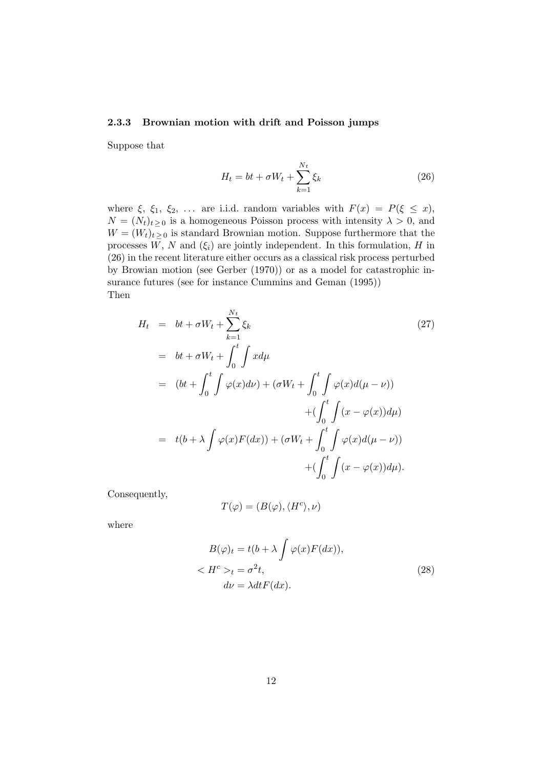### **2.3.3 Brownian motion with drift and Poisson jumps**

Suppose that

$$
H_t = bt + \sigma W_t + \sum_{k=1}^{N_t} \xi_k
$$
\n(26)

where  $\xi$ ,  $\xi_1$ ,  $\xi_2$ ,  $\ldots$  are i.i.d. random variables with  $F(x) = P(\xi \leq x)$ ,  $N = (N_t)_{t \geq 0}$  is a homogeneous Poisson process with intensity  $\lambda > 0$ , and  $W = (W_t)_{t \geq 0}$  is standard Brownian motion. Suppose furthermore that the processes  $W$ ,  $N$  and  $(\xi_i)$  are jointly independent. In this formulation,  $H$  in (26) in the recent literature either occurs as a classical risk process perturbed by Browian motion (see Gerber (1970)) or as a model for catastrophic insurance futures (see for instance Cummins and Geman (1995)) Then

$$
H_t = bt + \sigma W_t + \sum_{k=1}^{N_t} \xi_k
$$
\n
$$
= bt + \sigma W_t + \int_0^t \int x d\mu
$$
\n
$$
= (bt + \int_0^t \int \varphi(x) d\nu) + (\sigma W_t + \int_0^t \int \varphi(x) d(\mu - \nu))
$$
\n
$$
+ (\int_0^t \int (x - \varphi(x)) d\mu)
$$
\n
$$
= t(b + \lambda \int \varphi(x) F(dx)) + (\sigma W_t + \int_0^t \int \varphi(x) d(\mu - \nu))
$$
\n
$$
+ (\int_0^t \int (x - \varphi(x)) d\mu).
$$
\n(27)

Consequently,

$$
T(\varphi) = (B(\varphi), \langle H^c \rangle, \nu)
$$

where

$$
B(\varphi)_t = t(b + \lambda \int \varphi(x) F(dx)),
$$
  

$$
\langle H^c \rangle_t = \sigma^2 t,
$$
  

$$
d\nu = \lambda dt F(dx).
$$
 (28)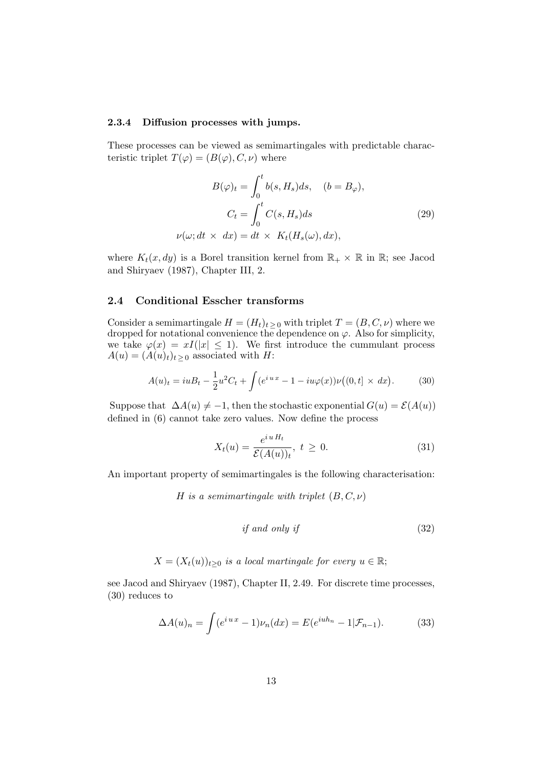#### **2.3.4 Diffusion processes with jumps.**

These processes can be viewed as semimartingales with predictable characteristic triplet  $T(\varphi) = (B(\varphi), C, \nu)$  where

$$
B(\varphi)_t = \int_0^t b(s, H_s) ds, \quad (b = B_{\varphi}),
$$

$$
C_t = \int_0^t C(s, H_s) ds
$$

$$
\nu(\omega; dt \times dx) = dt \times K_t(H_s(\omega), dx),
$$
 (29)

where  $K_t(x, dy)$  is a Borel transition kernel from  $\mathbb{R}_+ \times \mathbb{R}$  in  $\mathbb{R}$ ; see Jacod and Shiryaev (1987), Chapter III, 2.

#### **2.4 Conditional Esscher transforms**

Consider a semimartingale  $H = (H_t)_{t \geq 0}$  with triplet  $T = (B, C, \nu)$  where we dropped for notational convenience the dependence on  $\varphi$ . Also for simplicity, we take  $\varphi(x) = xI(|x| \leq 1)$ . We first introduce the cummulant process  $A(u) = (A(u)_t)_{t \geq 0}$  associated with *H*:

$$
A(u)_t = iuB_t - \frac{1}{2}u^2C_t + \int (e^{iux} - 1 - iu\varphi(x))\nu((0, t] \times dx).
$$
 (30)

Suppose that  $\Delta A(u) \neq -1$ , then the stochastic exponential  $G(u) = \mathcal{E}(A(u))$ defined in (6) cannot take zero values. Now define the process

$$
X_t(u) = \frac{e^{iuH_t}}{\mathcal{E}(A(u))_t}, \ t \ge 0.
$$
\n
$$
(31)
$$

An important property of semimartingales is the following characterisation:

*H* is a semimartingale with triplet (*B, C, ν*)

$$
if and only if \tag{32}
$$

 $X = (X_t(u))_{t>0}$  *is a local martingale for every*  $u \in \mathbb{R}$ ;

see Jacod and Shiryaev (1987), Chapter II, 2.49. For discrete time processes, (30) reduces to

$$
\Delta A(u)_n = \int (e^{iux} - 1)\nu_n(dx) = E(e^{iuh_n} - 1|\mathcal{F}_{n-1}).\tag{33}
$$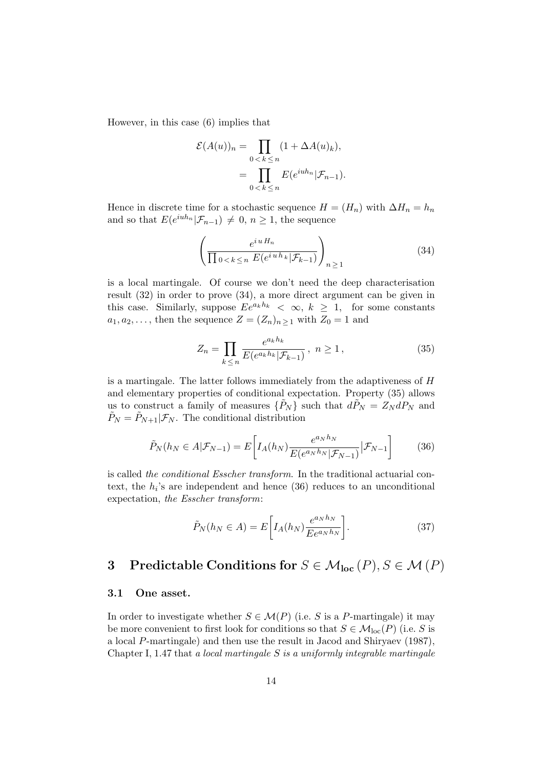However, in this case (6) implies that

$$
\mathcal{E}(A(u))_n = \prod_{0 < k \le n} (1 + \Delta A(u)_k),
$$
\n
$$
= \prod_{0 < k \le n} E(e^{iuh_n} | \mathcal{F}_{n-1}).
$$

Hence in discrete time for a stochastic sequence  $H = (H_n)$  with  $\Delta H_n = h_n$ and so that  $E(e^{iuh_n}|\mathcal{F}_{n-1}) \neq 0, n \geq 1$ , the sequence

$$
\left(\frac{e^{iuH_n}}{\prod_{0 < k \le n} E(e^{iuh_k}|\mathcal{F}_{k-1})}\right)_{n \ge 1} \tag{34}
$$

is a local martingale. Of course we don't need the deep characterisation result (32) in order to prove (34), a more direct argument can be given in this case. Similarly, suppose  $Ee^{a_kh_k} < \infty$ ,  $k \geq 1$ , for some constants  $a_1, a_2, \ldots$ , then the sequence  $Z = (Z_n)_{n \geq 1}$  with  $Z_0 = 1$  and

$$
Z_n = \prod_{k \le n} \frac{e^{a_k h_k}}{E(e^{a_k h_k} | \mathcal{F}_{k-1})}, \ n \ge 1,
$$
\n(35)

is a martingale. The latter follows immediately from the adaptiveness of *H* and elementary properties of conditional expectation. Property (35) allows us to construct a family of measures  $\{\tilde{P}_N\}$  such that  $d\tilde{P}_N = Z_N dP_N$  and  $\tilde{P}_N = \tilde{P}_{N+1} | \mathcal{F}_N$ . The conditional distribution

$$
\tilde{P}_N(h_N \in A | \mathcal{F}_{N-1}) = E\left[I_A(h_N) \frac{e^{a_N h_N}}{E(e^{a_N h_N} | \mathcal{F}_{N-1})} | \mathcal{F}_{N-1}\right] \tag{36}
$$

is called the conditional Esscher transform. In the traditional actuarial context, the  $h_i$ 's are independent and hence  $(36)$  reduces to an unconditional expectation, the Esscher transform:

$$
\tilde{P}_N(h_N \in A) = E\bigg[I_A(h_N)\frac{e^{a_N h_N}}{E e^{a_N h_N}}\bigg].\tag{37}
$$

## **3** Predictable Conditions for  $S \in \mathcal{M}_{loc}(P), S \in \mathcal{M}(P)$

### **3.1 One asset.**

In order to investigate whether  $S \in \mathcal{M}(P)$  (i.e. *S* is a *P*-martingale) it may be more convenient to first look for conditions so that  $S \in \mathcal{M}_{loc}(P)$  (i.e. *S* is a local *P*-martingale) and then use the result in Jacod and Shiryaev (1987), Chapter I, 1.47 that a local martingale *S* is a uniformly integrable martingale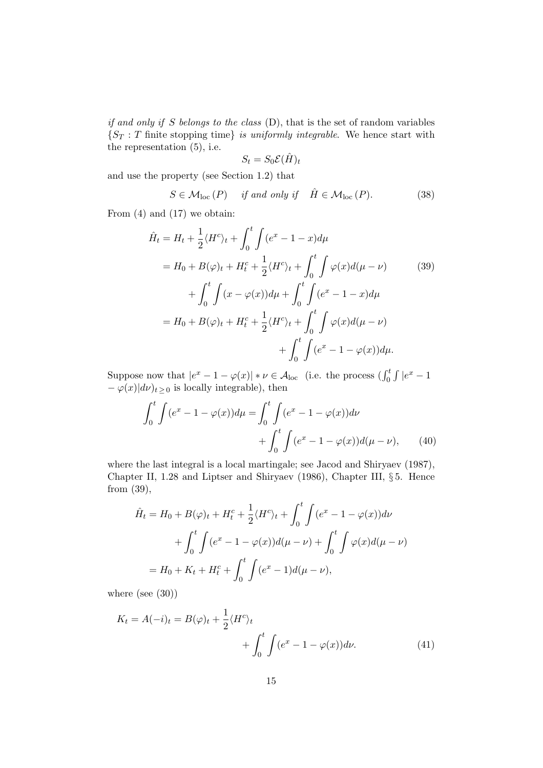if and only if *S* belongs to the class (D), that is the set of random variables  ${S_T : T \text{ finite stopping time}}$  is uniformly integrable. We hence start with the representation (5), i.e.

$$
S_t = S_0 \mathcal{E}(\hat{H})_t
$$

and use the property (see Section 1*.*2) that

$$
S \in \mathcal{M}_{loc}(P) \quad \text{if and only if} \quad \hat{H} \in \mathcal{M}_{loc}(P). \tag{38}
$$

From (4) and (17) we obtain:

$$
\hat{H}_t = H_t + \frac{1}{2} \langle H^c \rangle_t + \int_0^t \int (e^x - 1 - x) d\mu
$$
  
=  $H_0 + B(\varphi)_t + H_t^c + \frac{1}{2} \langle H^c \rangle_t + \int_0^t \int \varphi(x) d(\mu - \nu)$  (39)  
+  $\int_0^t \int (x - \varphi(x)) d\mu + \int_0^t \int (e^x - 1 - x) d\mu$   
=  $H_0 + B(\varphi)_t + H_t^c + \frac{1}{2} \langle H^c \rangle_t + \int_0^t \int \varphi(x) d(\mu - \nu)$   
+  $\int_0^t \int (e^x - 1 - \varphi(x)) d\mu$ .

Suppose now that  $|e^x - 1 - \varphi(x)| * \nu \in \mathcal{A}_{loc}$  (i.e. the process  $\left(\int_0^t \int |e^x - 1| \right)$  $-\varphi(x)|d\nu$ <sub>t</sub> ≥ 0 is locally integrable), then

$$
\int_{0}^{t} \int (e^{x} - 1 - \varphi(x)) d\mu = \int_{0}^{t} \int (e^{x} - 1 - \varphi(x)) d\nu + \int_{0}^{t} \int (e^{x} - 1 - \varphi(x)) d(\mu - \nu), \qquad (40)
$$

where the last integral is a local martingale; see Jacod and Shiryaev (1987), Chapter II, 1*.*28 and Liptser and Shiryaev (1986), Chapter III, § 5. Hence from (39),

$$
\hat{H}_t = H_0 + B(\varphi)_t + H_t^c + \frac{1}{2} \langle H^c \rangle_t + \int_0^t \int (e^x - 1 - \varphi(x)) d\nu + \int_0^t \int (e^x - 1 - \varphi(x)) d(\mu - \nu) + \int_0^t \int \varphi(x) d(\mu - \nu)
$$

$$
= H_0 + K_t + H_t^c + \int_0^t \int (e^x - 1) d(\mu - \nu),
$$

where (see (30))

$$
K_t = A(-i)_t = B(\varphi)_t + \frac{1}{2} \langle H^c \rangle_t + \int_0^t \int (e^x - 1 - \varphi(x)) d\nu.
$$
 (41)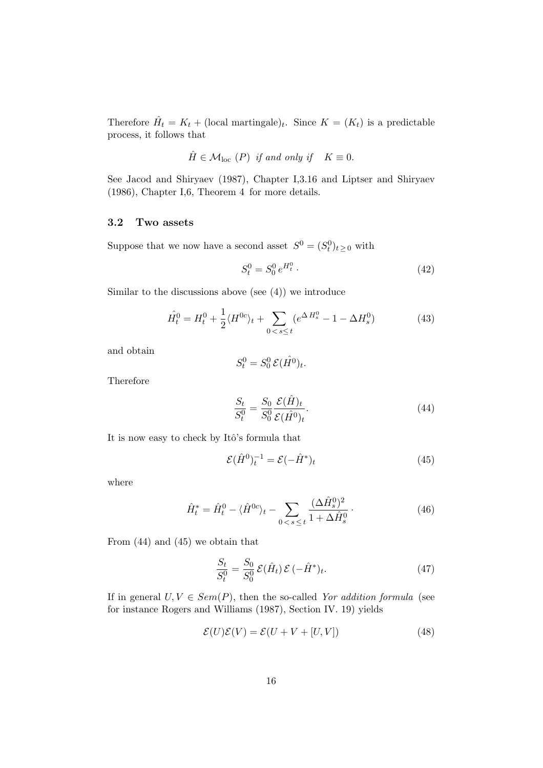Therefore  $\hat{H}_t = K_t + (\text{local martingale})_t$ . Since  $K = (K_t)$  is a predictable process, it follows that

$$
\hat{H} \in \mathcal{M}_{loc} \ (P) \ \text{if and only if} \quad K \equiv 0.
$$

See Jacod and Shiryaev (1987), Chapter I,3*.*16 and Liptser and Shiryaev (1986)*,* Chapter I,6*,* Theorem 4 for more details.

## **3.2 Two assets**

Suppose that we now have a second asset  $S^0 = (S_t^0)_{t \geq 0}$  with

$$
S_t^0 = S_0^0 \, e^{H_t^0} \,. \tag{42}
$$

Similar to the discussions above (see  $(4)$ ) we introduce

$$
\hat{H}_t^0 = H_t^0 + \frac{1}{2} \langle H^{0c} \rangle_t + \sum_{0 < s \le t} \left( e^{\Delta H_s^0} - 1 - \Delta H_s^0 \right) \tag{43}
$$

and obtain

$$
S_t^0 = S_0^0 \mathcal{E}(\hat{H^0})_t.
$$

Therefore

$$
\frac{S_t}{S_t^0} = \frac{S_0}{S_0^0} \frac{\mathcal{E}(\hat{H})_t}{\mathcal{E}(\hat{H}^0)_t}.
$$
\n(44)

It is now easy to check by Itô's formula that

$$
\mathcal{E}(\hat{H}^0)_t^{-1} = \mathcal{E}(-\hat{H}^*)_t \tag{45}
$$

where

$$
\hat{H}_t^* = \hat{H}_t^0 - \langle \hat{H}^{0c} \rangle_t - \sum_{0 < s \le t} \frac{(\Delta \hat{H}_s^0)^2}{1 + \Delta \hat{H}_s^0} \,. \tag{46}
$$

From (44) and (45) we obtain that

$$
\frac{S_t}{S_t^0} = \frac{S_0}{S_0^0} \mathcal{E}(\hat{H}_t) \mathcal{E}(-\hat{H}^*)_t.
$$
\n(47)

If in general  $U, V \in Sem(P)$ , then the so-called Yor addition formula (see for instance Rogers and Williams (1987), Section IV. 19) yields

$$
\mathcal{E}(U)\mathcal{E}(V) = \mathcal{E}(U + V + [U, V])
$$
\n(48)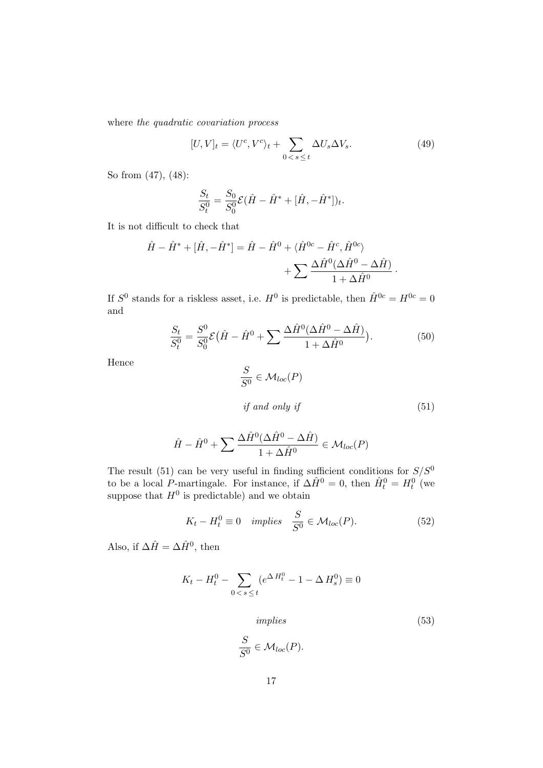where the quadratic covariation process

$$
[U,V]_t = \langle U^c, V^c \rangle_t + \sum_{0 < s \le t} \Delta U_s \Delta V_s. \tag{49}
$$

So from (47), (48):

$$
\frac{S_t}{S_t^0} = \frac{S_0}{S_0^0} \mathcal{E}(\hat{H} - \hat{H}^* + [\hat{H}, -\hat{H}^*])_t.
$$

It is not difficult to check that

$$
\hat{H} - \hat{H}^* + [\hat{H}, -\hat{H}^*] = \hat{H} - \hat{H}^0 + \langle \hat{H}^{0c} - \hat{H}^c, \hat{H}^{0c} \rangle \n+ \sum \frac{\Delta \hat{H}^0(\Delta \hat{H}^0 - \Delta \hat{H})}{1 + \Delta \hat{H}^0}.
$$

If  $S^0$  stands for a riskless asset, i.e.  $H^0$  is predictable, then  $\hat{H}^{0c} = H^{0c} = 0$ and

$$
\frac{S_t}{S_t^0} = \frac{S^0}{S_0^0} \mathcal{E}(\hat{H} - \hat{H}^0 + \sum \frac{\Delta \hat{H}^0 (\Delta \hat{H}^0 - \Delta \hat{H})}{1 + \Delta \hat{H}^0}).
$$
(50)

Hence

$$
\frac{S}{S^0} \in \mathcal{M}_{loc}(P)
$$
  
if and only if (51)

$$
\hat{H} - \hat{H}^0 + \sum \frac{\Delta \hat{H}^0(\Delta \hat{H}^0 - \Delta \hat{H})}{1 + \Delta \hat{H}^0} \in \mathcal{M}_{loc}(P)
$$

The result (51) can be very useful in finding sufficient conditions for *S/S*<sup>0</sup> to be a local *P*-martingale. For instance, if  $\Delta \hat{H}^0 = 0$ , then  $\hat{H}_t^0 = H_t^0$  (we suppose that  $H^0$  is predictable) and we obtain

$$
K_t - H_t^0 \equiv 0 \quad implies \quad \frac{S}{S^0} \in \mathcal{M}_{loc}(P). \tag{52}
$$

Also, if  $\Delta \hat{H} = \Delta \hat{H}^0$ , then

$$
K_t - H_t^0 - \sum_{0 < s \le t} (e^{\Delta H_t^0} - 1 - \Delta H_s^0) \equiv 0
$$

implies (53)

$$
\frac{S}{S^0} \in \mathcal{M}_{loc}(P).
$$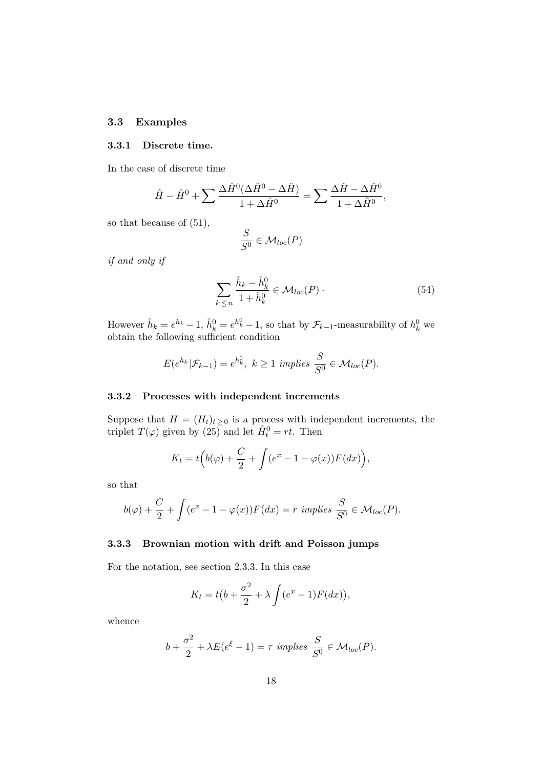## **3.3 Examples**

## **3.3.1 Discrete time.**

In the case of discrete time

$$
\hat{H} - \hat{H}^0 + \sum \frac{\Delta \hat{H}^0(\Delta \hat{H}^0 - \Delta \hat{H})}{1 + \Delta \hat{H}^0} = \sum \frac{\Delta \hat{H} - \Delta \hat{H}^0}{1 + \Delta \hat{H}^0},
$$

so that because of (51),

$$
\frac{S}{S^0} \in \mathcal{M}_{loc}(P)
$$

if and only if

$$
\sum_{k \le n} \frac{\hat{h}_k - \hat{h}_k^0}{1 + \hat{h}_k^0} \in \mathcal{M}_{loc}(P) \tag{54}
$$

However  $\hat{h}_k = e^{h_k} - 1$ ,  $\hat{h}_k^0 = e^{h_k^0} - 1$ , so that by  $\mathcal{F}_{k-1}$ -measurability of  $h_k^0$  we obtain the following sufficient condition

$$
E(e^{h_k}|\mathcal{F}_{k-1})=e^{h_k^0}, k\geq 1 \implies \frac{S}{S^0}\in \mathcal{M}_{loc}(P).
$$

## **3.3.2 Processes with independent increments**

Suppose that  $H = (H_t)_{t \geq 0}$  is a process with independent increments, the triplet  $T(\varphi)$  given by  $(25)$  and let  $\hat{H}_t^0 = rt$ . Then

$$
K_t = t\Big(b(\varphi) + \frac{C}{2} + \int (e^x - 1 - \varphi(x))F(dx)\Big),
$$

so that

$$
b(\varphi) + \frac{C}{2} + \int (e^x - 1 - \varphi(x)) F(dx) = r \implies \frac{S}{S^0} \in \mathcal{M}_{loc}(P).
$$

## **3.3.3 Brownian motion with drift and Poisson jumps**

For the notation, see section 2*.*3*.*3*.* In this case

$$
K_t = t\big(b + \frac{\sigma^2}{2} + \lambda \int (e^x - 1) F(dx)\big),
$$

whence

$$
b + \frac{\sigma^2}{2} + \lambda E(e^{\xi} - 1) = \tau
$$
 implies  $\frac{S}{S^0} \in \mathcal{M}_{loc}(P).$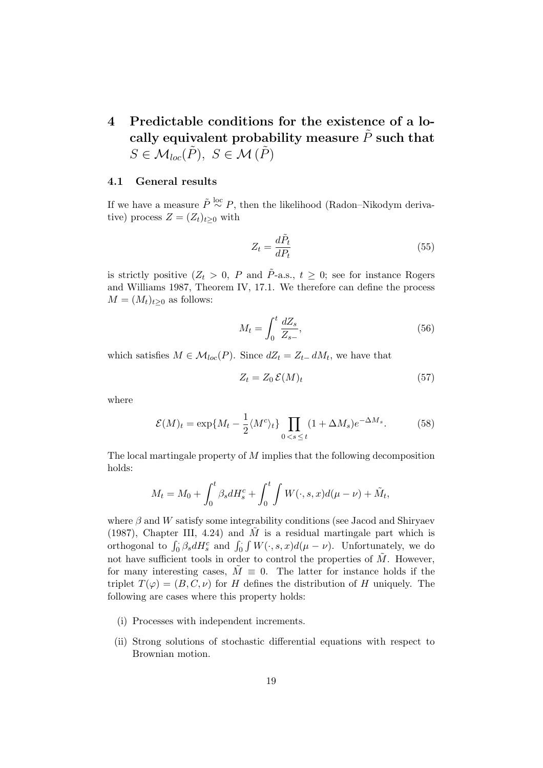## **4 Predictable conditions for the existence of a lo**cally equivalent probability measure  $\tilde{P}$  such that  $S \in \mathcal{M}_{loc}(\tilde{P}), S \in \mathcal{M}(\tilde{P})$

## **4.1 General results**

If we have a measure  $\tilde{P} \stackrel{\text{loc}}{\sim} P$ , then the likelihood (Radon–Nikodym derivative) process  $Z = (Z_t)_{t\geq 0}$  with

$$
Z_t = \frac{d\tilde{P}_t}{dP_t} \tag{55}
$$

is strictly positive  $(Z_t > 0, P$  and  $\tilde{P}_{\text{-a.s.,}} t \geq 0$ ; see for instance Rogers and Williams 1987, Theorem IV, 17.1. We therefore can define the process  $M = (M_t)_{t \geq 0}$  as follows:

$$
M_t = \int_0^t \frac{dZ_s}{Z_{s-}},\tag{56}
$$

which satisfies  $M \in \mathcal{M}_{loc}(P)$ . Since  $dZ_t = Z_{t-1} dM_t$ , we have that

$$
Z_t = Z_0 \,\mathcal{E}(M)_t \tag{57}
$$

where

$$
\mathcal{E}(M)_t = \exp\{M_t - \frac{1}{2} \langle M^c \rangle_t\} \prod_{0 < s \le t} (1 + \Delta M_s) e^{-\Delta M_s}.\tag{58}
$$

The local martingale property of *M* implies that the following decomposition holds:

$$
M_t = M_0 + \int_0^t \beta_s dH_s^c + \int_0^t \int W(\cdot, s, x) d(\mu - \nu) + \tilde{M}_t,
$$

where *β* and *W* satisfy some integrability conditions (see Jacod and Shiryaev (1987), Chapter III, 4.24) and  $\tilde{M}$  is a residual martingale part which is orthogonal to  $\int_0^1 \beta_s dH_s^c$  and  $\int_0^1 \int W(\cdot, s, x) d(\mu - \nu)$ . Unfortunately, we do not have sufficient tools in order to control the properties of  $\tilde{M}$ . However, for many interesting cases,  $\overline{M} \equiv 0$ . The latter for instance holds if the triplet  $T(\varphi)=(B, C, \nu)$  for *H* defines the distribution of *H* uniquely. The following are cases where this property holds:

- (i) Processes with independent increments.
- (ii) Strong solutions of stochastic differential equations with respect to Brownian motion.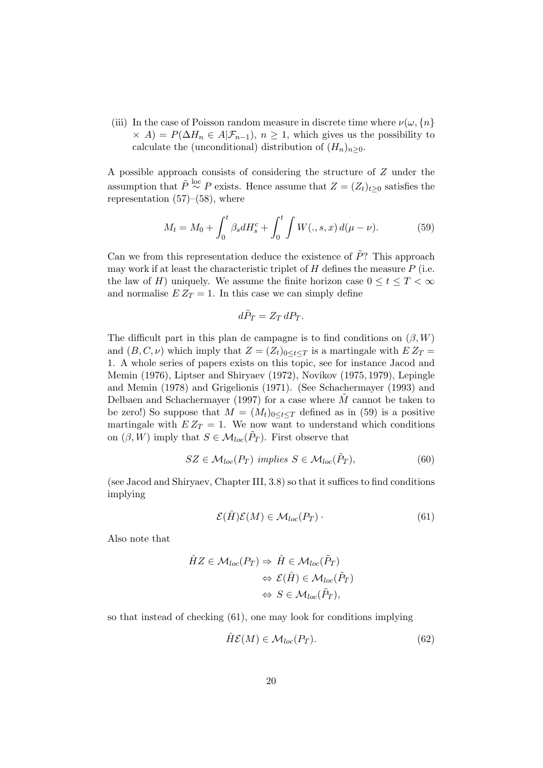(iii) In the case of Poisson random measure in discrete time where  $\nu(\omega, \{n\})$  $\langle \times A \rangle = P(\Delta H_n \in A | \mathcal{F}_{n-1}), n \geq 1$ , which gives us the possibility to calculate the (unconditional) distribution of  $(H_n)_{n>0}$ .

A possible approach consists of considering the structure of *Z* under the assumption that  $\tilde{P} \stackrel{\text{loc}}{\sim} P$  exists. Hence assume that  $Z = (Z_t)_{t \geq 0}$  satisfies the representation  $(57)$ – $(58)$ , where

$$
M_t = M_0 + \int_0^t \beta_s dH_s^c + \int_0^t \int W(., s, x) d(\mu - \nu). \tag{59}
$$

Can we from this representation deduce the existence of  $\tilde{P}$ ? This approach may work if at least the characteristic triplet of  $H$  defines the measure  $P$  (i.e. the law of *H*) uniquely. We assume the finite horizon case  $0 \le t \le T < \infty$ and normalise  $E Z_T = 1$ . In this case we can simply define

$$
d\tilde{P}_T = Z_T dP_T.
$$

The difficult part in this plan de campagne is to find conditions on  $(\beta, W)$ and  $(B, C, \nu)$  which imply that  $Z = (Z_t)_{0 \le t \le T}$  is a martingale with  $EZ_T =$ 1. A whole series of papers exists on this topic, see for instance Jacod and Memin (1976), Liptser and Shiryaev (1972), Novikov (1975*,* 1979), Lepingle and Memin (1978) and Grigelionis (1971). (See Schachermayer (1993) and Delbaen and Schachermayer (1997) for a case where *M*˜ cannot be taken to be zero!) So suppose that  $M = (M_t)_{0 \leq t \leq T}$  defined as in (59) is a positive martingale with  $EZ_T = 1$ . We now want to understand which conditions on  $(\beta, W)$  imply that  $S \in \mathcal{M}_{loc}(\tilde{P}_T)$ . First observe that

$$
SZ \in \mathcal{M}_{loc}(P_T) \implies S \in \mathcal{M}_{loc}(\tilde{P}_T), \tag{60}
$$

(see Jacod and Shiryaev, Chapter III, 3.8) so that it suffices to find conditions implying

$$
\mathcal{E}(\hat{H})\mathcal{E}(M) \in \mathcal{M}_{loc}(P_T) \tag{61}
$$

Also note that

$$
\hat{H}Z \in \mathcal{M}_{loc}(P_T) \Rightarrow \hat{H} \in \mathcal{M}_{loc}(\tilde{P}_T)
$$

$$
\Leftrightarrow \mathcal{E}(\hat{H}) \in \mathcal{M}_{loc}(\tilde{P}_T)
$$

$$
\Leftrightarrow S \in \mathcal{M}_{loc}(\tilde{P}_T),
$$

so that instead of checking (61)*,* one may look for conditions implying

$$
\hat{H}\mathcal{E}(M) \in \mathcal{M}_{loc}(P_T). \tag{62}
$$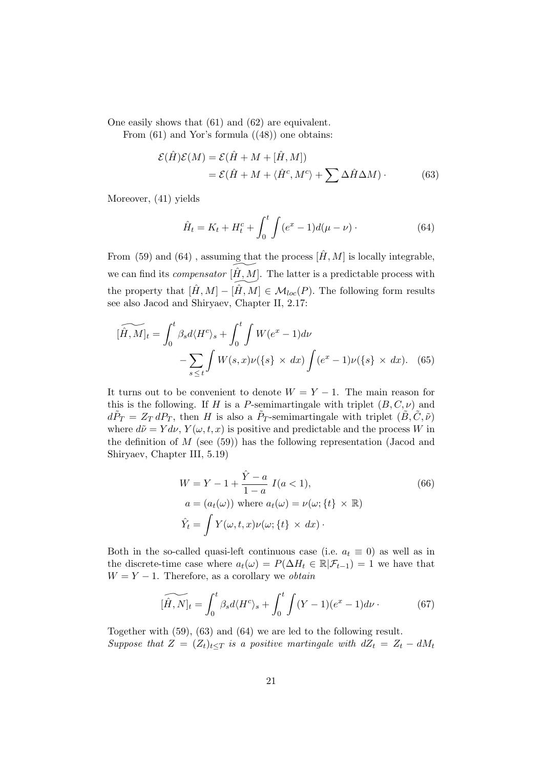One easily shows that (61) and (62) are equivalent.

From  $(61)$  and Yor's formula  $((48))$  one obtains:

$$
\mathcal{E}(\hat{H})\mathcal{E}(M) = \mathcal{E}(\hat{H} + M + [\hat{H}, M])
$$
  
=  $\mathcal{E}(\hat{H} + M + \langle \hat{H}^c, M^c \rangle + \sum \Delta \hat{H} \Delta M)$ . (63)

Moreover, (41) yields

$$
\hat{H}_t = K_t + H_t^c + \int_0^t \int (e^x - 1)d(\mu - \nu) \,. \tag{64}
$$

From (59) and (64), assuming that the process  $[\hat{H}, M]$  is locally integrable, we can find its *compensator*  $[\hat{H}, M]$ . The latter is a predictable process with the property that  $[\hat{H}, M] - [\hat{H}, M] \in \mathcal{M}_{loc}(P)$ . The following form results see also Jacod and Shiryaev, Chapter II, 2.17:

$$
\widetilde{[\hat{H},M]}_t = \int_0^t \beta_s d\langle H^c \rangle_s + \int_0^t \int W(e^x - 1) d\nu
$$

$$
- \sum_{s \le t} \int W(s,x) \nu(\{s\} \times dx) \int (e^x - 1) \nu(\{s\} \times dx). \tag{65}
$$

It turns out to be convenient to denote  $W = Y - 1$ . The main reason for this is the following. If *H* is a *P*-semimartingale with triplet  $(B, C, \nu)$  and  $d\tilde{P}_T = Z_T dP_T$ , then *H* is also a  $\tilde{P}_T$ -semimartingale with triplet  $(\tilde{B}, \tilde{C}, \tilde{\nu})$ where  $d\tilde{\nu} = Y d\nu$ ,  $Y(\omega, t, x)$  is positive and predictable and the process *W* in the definition of *M* (see (59)) has the following representation (Jacod and Shiryaev, Chapter III, 5.19)

$$
W = Y - 1 + \frac{\hat{Y} - a}{1 - a} I(a < 1),
$$
  
\n
$$
a = (a_t(\omega)) \text{ where } a_t(\omega) = \nu(\omega; \{t\} \times \mathbb{R})
$$
  
\n
$$
\hat{Y}_t = \int Y(\omega, t, x) \nu(\omega; \{t\} \times dx) \cdot
$$
\n(66)

Both in the so-called quasi-left continuous case (i.e.  $a_t \equiv 0$ ) as well as in the discrete-time case where  $a_t(\omega) = P(\Delta H_t \in \mathbb{R} | \mathcal{F}_{t-1}) = 1$  we have that  $W = Y - 1$ . Therefore, as a corollary we *obtain* 

$$
\widetilde{[\hat{H}, N]_t} = \int_0^t \beta_s d\langle H^c \rangle_s + \int_0^t \int (Y - 1)(e^x - 1) d\nu \,. \tag{67}
$$

Together with (59), (63) and (64) we are led to the following result. Suppose that  $Z = (Z_t)_{t \le T}$  is a positive martingale with  $dZ_t = Z_t - dM_t$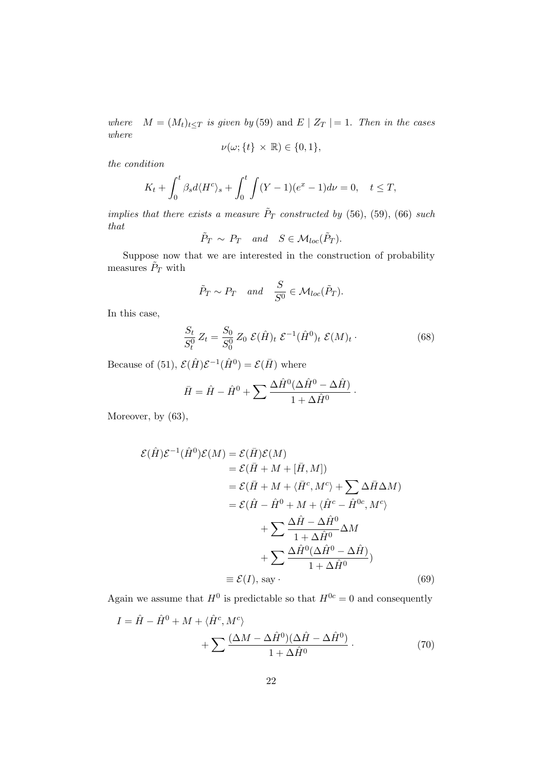where  $M = (M_t)_{t \leq T}$  is given by (59) and  $E \mid Z_T \mid = 1$ . Then in the cases where

$$
\nu(\omega;\{t\}\times\mathbb{R})\in\{0,1\},\
$$

the condition

$$
K_t + \int_0^t \beta_s d\langle H^c \rangle_s + \int_0^t \int (Y - 1)(e^x - 1) d\nu = 0, \quad t \le T,
$$

implies that there exists a measure  $\tilde{P}_T$  constructed by (56), (59), (66) such that

$$
\tilde{P}_T \sim P_T
$$
 and  $S \in \mathcal{M}_{loc}(\tilde{P}_T)$ .

Suppose now that we are interested in the construction of probability measures  $\tilde{P}_T$  with

$$
\tilde{P}_T \sim P_T
$$
 and  $\frac{S}{S^0} \in \mathcal{M}_{loc}(\tilde{P}_T)$ .

In this case,

$$
\frac{S_t}{S_t^0} Z_t = \frac{S_0}{S_0^0} Z_0 \mathcal{E}(\hat{H})_t \mathcal{E}^{-1}(\hat{H}^0)_t \mathcal{E}(M)_t \,. \tag{68}
$$

Because of (51),  $\mathcal{E}(\hat{H})\mathcal{E}^{-1}(\hat{H}^0) = \mathcal{E}(\bar{H})$  where

$$
\bar{H} = \hat{H} - \hat{H}^0 + \sum \frac{\Delta \hat{H}^0 (\Delta \hat{H}^0 - \Delta \hat{H})}{1 + \Delta \hat{H}^0}.
$$

Moreover, by (63)*,*

$$
\mathcal{E}(\hat{H})\mathcal{E}^{-1}(\hat{H}^{0})\mathcal{E}(M) = \mathcal{E}(\bar{H})\mathcal{E}(M)
$$
  
\n
$$
= \mathcal{E}(\bar{H} + M + [\bar{H}, M])
$$
  
\n
$$
= \mathcal{E}(\bar{H} + M + \langle \bar{H}^{c}, M^{c} \rangle + \sum \Delta \bar{H} \Delta M)
$$
  
\n
$$
= \mathcal{E}(\hat{H} - \hat{H}^{0} + M + \langle \hat{H}^{c} - \hat{H}^{0c}, M^{c} \rangle
$$
  
\n
$$
+ \sum \frac{\Delta \hat{H} - \Delta \hat{H}^{0}}{1 + \Delta \hat{H}^{0}} \Delta M
$$
  
\n
$$
+ \sum \frac{\Delta \hat{H}^{0}(\Delta \hat{H}^{0} - \Delta \hat{H})}{1 + \Delta \hat{H}^{0}})
$$
  
\n
$$
\equiv \mathcal{E}(I), \text{ say}. \tag{69}
$$

Again we assume that  $H^0$  is predictable so that  $H^{0c} = 0$  and consequently

$$
I = \hat{H} - \hat{H}^{0} + M + \langle \hat{H}^{c}, M^{c} \rangle + \sum \frac{(\Delta M - \Delta \hat{H}^{0})(\Delta \hat{H} - \Delta \hat{H}^{0})}{1 + \Delta \hat{H}^{0}}.
$$
\n(70)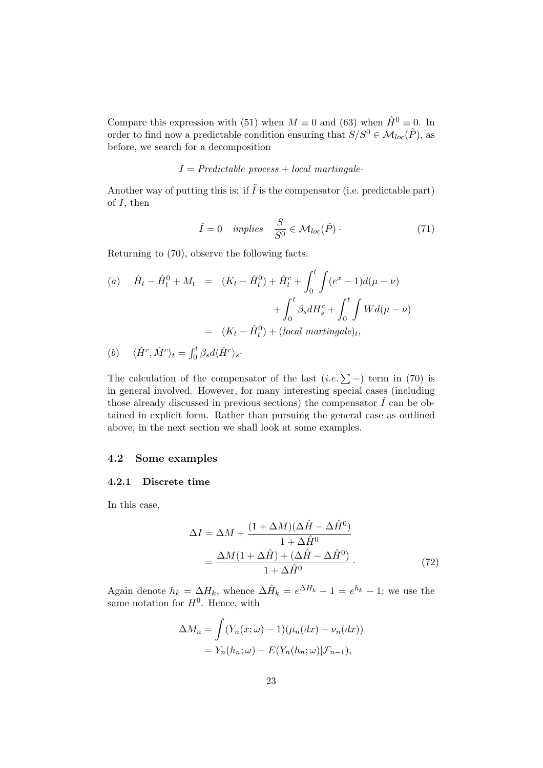Compare this expression with (51) when  $M \equiv 0$  and (63) when  $\hat{H}^0 \equiv 0$ . In order to find now a predictable condition ensuring that  $S/S^0 \in \mathcal{M}_{loc}(\tilde{P})$ , as before, we search for a decomposition

## $I = Predictable process + local martingale·$

Another way of putting this is: if  $\tilde{I}$  is the compensator (i.e. predictable part) of *I*, then

$$
\tilde{I} = 0 \quad implies \quad \frac{S}{S^0} \in \mathcal{M}_{loc}(\tilde{P}) \,. \tag{71}
$$

Returning to (70), observe the following facts.

(a) 
$$
\hat{H}_t - \hat{H}_t^0 + M_t = (K_t - \hat{H}_t^0) + \hat{H}_t^c + \int_0^t \int (e^x - 1) d(\mu - \nu) + \int_0^t \beta_s dH_s^c + \int_0^t \int W d(\mu - \nu) = (K_t - \hat{H}_t^0) + (local martingale)_t,
$$

(b) 
$$
\langle \hat{H}^c, \hat{M}^c \rangle_t = \int_0^t \beta_s d\langle \hat{H}^c \rangle_s
$$

The calculation of the compensator of the last  $(i.e. \sum -)$  term in (70) is in general involved. However, for many interesting special cases (including those already discussed in previous sections) the compensator  $\tilde{I}$  can be obtained in explicit form. Rather than pursuing the general case as outlined above, in the next section we shall look at some examples.

## **4.2 Some examples**

#### **4.2.1 Discrete time**

In this case,

$$
\Delta I = \Delta M + \frac{(1 + \Delta M)(\Delta \hat{H} - \Delta \hat{H}^0)}{1 + \Delta \hat{H}^0}
$$

$$
= \frac{\Delta M (1 + \Delta \hat{H}) + (\Delta \hat{H} - \Delta \hat{H}^0)}{1 + \Delta \hat{H}^0}.
$$
(72)

Again denote  $h_k = \Delta H_k$ , whence  $\Delta \hat{H}_k = e^{\Delta H_k} - 1 = e^{h_k} - 1$ ; we use the same notation for  $H^0$ . Hence, with

$$
\Delta M_n = \int (Y_n(x; \omega) - 1)(\mu_n(dx) - \nu_n(dx))
$$
  
=  $Y_n(h_n; \omega) - E(Y_n(h_n; \omega)|\mathcal{F}_{n-1}),$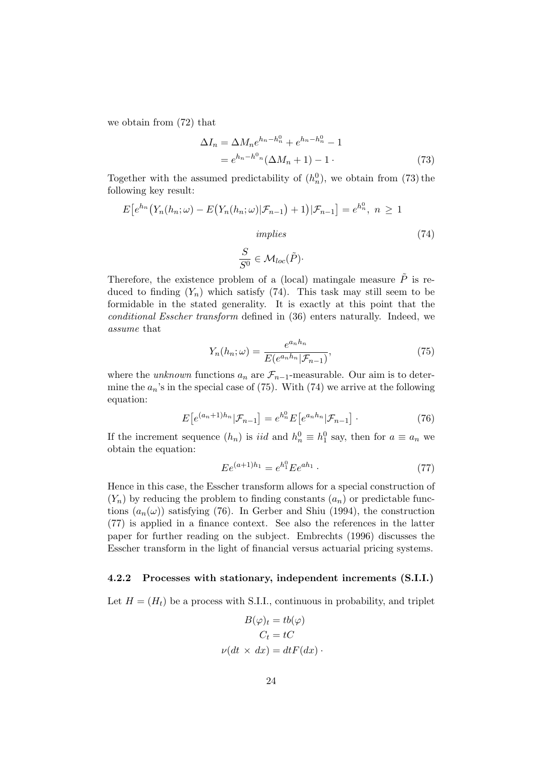we obtain from (72) that

$$
\Delta I_n = \Delta M_n e^{h_n - h_n^0} + e^{h_n - h_n^0} - 1
$$
  
=  $e^{h_n - h_{n}^0} (\Delta M_n + 1) - 1$ . (73)

Together with the assumed predictability of  $(h_n^0)$ , we obtain from (73) the following key result:

$$
E\left[e^{h_n}\left(Y_n(h_n;\omega)-E\left(Y_n(h_n;\omega)|\mathcal{F}_{n-1}\right)+1\right)|\mathcal{F}_{n-1}\right]=e^{h_n^0},\ n\geq 1
$$
\n
$$
implies\tag{74}
$$

$$
\frac{S}{S^0} \in \mathcal{M}_{loc}(\tilde{P}) \cdot
$$

Therefore, the existence problem of a (local) matingale measure  $\tilde{P}$  is reduced to finding  $(Y_n)$  which satisfy  $(74)$ . This task may still seem to be formidable in the stated generality. It is exactly at this point that the conditional Esscher transform defined in (36) enters naturally. Indeed, we assume that

$$
Y_n(h_n; \omega) = \frac{e^{a_n h_n}}{E(e^{a_n h_n} | \mathcal{F}_{n-1})},\tag{75}
$$

where the *unknown* functions  $a_n$  are  $\mathcal{F}_{n-1}$ -measurable. Our aim is to determine the  $a_n$ 's in the special case of (75). With (74) we arrive at the following equation:

$$
E\left[e^{(a_n+1)h_n}|\mathcal{F}_{n-1}\right] = e^{h_n^0} E\left[e^{a_n h_n}|\mathcal{F}_{n-1}\right].\tag{76}
$$

If the increment sequence  $(h_n)$  is *iid* and  $h_n^0 \equiv h_1^0$  say, then for  $a \equiv a_n$  we obtain the equation:

$$
E e^{(a+1)h_1} = e^{h_1^0} E e^{ah_1} \t\t(77)
$$

Hence in this case, the Esscher transform allows for a special construction of  $(Y_n)$  by reducing the problem to finding constants  $(a_n)$  or predictable functions  $(a_n(\omega))$  satisfying (76). In Gerber and Shiu (1994), the construction (77) is applied in a finance context. See also the references in the latter paper for further reading on the subject. Embrechts (1996) discusses the Esscher transform in the light of financial versus actuarial pricing systems.

### **4.2.2 Processes with stationary, independent increments (S.I.I.)**

Let  $H = (H_t)$  be a process with S.I.I., continuous in probability, and triplet

$$
B(\varphi)_t = tb(\varphi)
$$

$$
C_t = tC
$$

$$
\nu(dt \times dx) = dtF(dx).
$$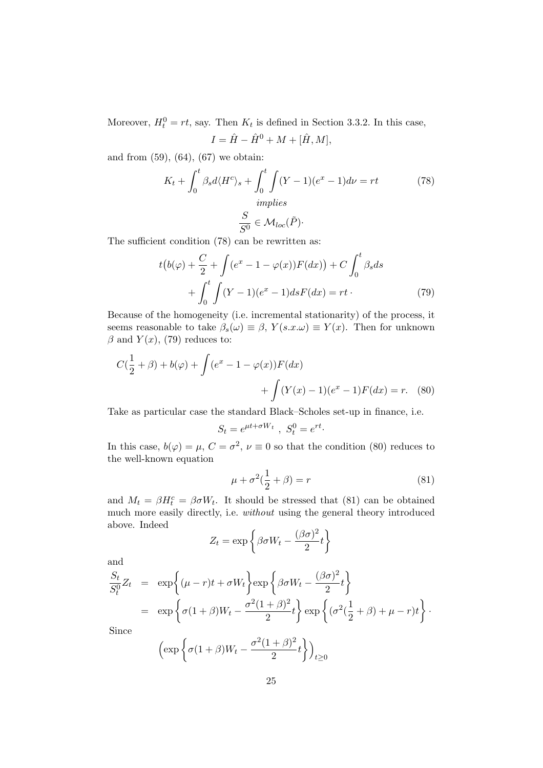Moreover,  $H_t^0 = rt$ , say. Then  $K_t$  is defined in Section 3.3.2. In this case,  $I = \hat{H} - \hat{H}^{0} + M + [\hat{H}, M],$ 

and from (59), (64), (67) we obtain:

$$
K_t + \int_0^t \beta_s d\langle H^c \rangle_s + \int_0^t \int (Y - 1)(e^x - 1) d\nu = rt \tag{78}
$$

$$
\frac{S}{S^0} \in \mathcal{M}_{loc}(\tilde{P})
$$

The sufficient condition (78) can be rewritten as:

$$
t\big(b(\varphi) + \frac{C}{2} + \int (e^x - 1 - \varphi(x))F(dx)\big) + C \int_0^t \beta_s ds
$$
  
+ 
$$
\int_0^t \int (Y - 1)(e^x - 1)dsF(dx) = rt.
$$
 (79)

Because of the homogeneity (i.e. incremental stationarity) of the process, it seems reasonable to take  $\beta_s(\omega) \equiv \beta$ ,  $Y(s.x.\omega) \equiv Y(x)$ . Then for unknown  $\beta$  and  $Y(x)$ , (79) reduces to:

$$
C(\frac{1}{2} + \beta) + b(\varphi) + \int (e^x - 1 - \varphi(x))F(dx) + \int (Y(x) - 1)(e^x - 1)F(dx) = r.
$$
 (80)

Take as particular case the standard Black–Scholes set-up in finance, i.e.

$$
S_t = e^{\mu t + \sigma W_t}, \ S_t^0 = e^{rt}.
$$

In this case,  $b(\varphi) = \mu$ ,  $C = \sigma^2$ ,  $\nu \equiv 0$  so that the condition (80) reduces to the well-known equation

$$
\mu + \sigma^2(\frac{1}{2} + \beta) = r \tag{81}
$$

and  $M_t = \beta H_t^c = \beta \sigma W_t$ . It should be stressed that (81) can be obtained much more easily directly, i.e. without using the general theory introduced above. Indeed

$$
Z_t = \exp\left\{\beta\sigma W_t - \frac{(\beta\sigma)^2}{2}t\right\}
$$

and

$$
\frac{S_t}{S_t^0} Z_t = \exp\left\{ (\mu - r)t + \sigma W_t \right\} \exp\left\{ \beta \sigma W_t - \frac{(\beta \sigma)^2}{2} t \right\}
$$
  
= 
$$
\exp\left\{ \sigma (1 + \beta) W_t - \frac{\sigma^2 (1 + \beta)^2}{2} t \right\} \exp\left\{ (\sigma^2 (\frac{1}{2} + \beta) + \mu - r) t \right\}.
$$

Since

$$
\left(\exp\left\{\sigma(1+\beta)W_t-\frac{\sigma^2(1+\beta)^2}{2}t\right\}\right)_{t\geq 0}
$$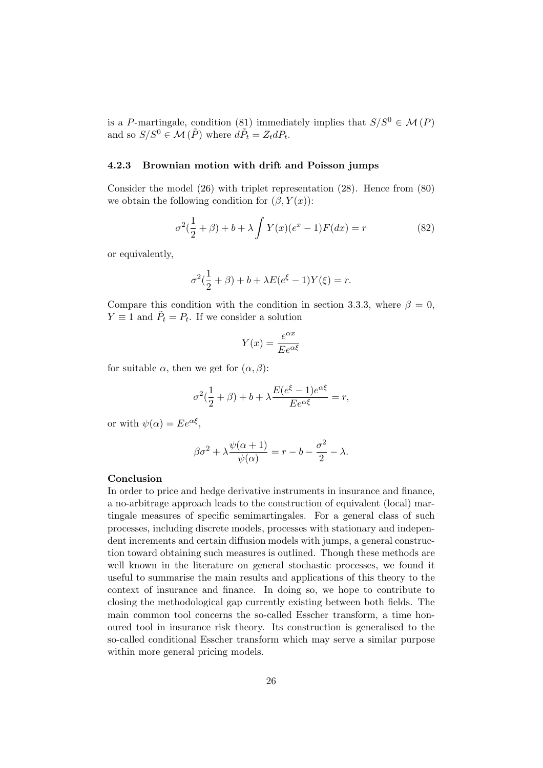is a *P*-martingale, condition (81) immediately implies that  $S/S^0 \in \mathcal{M}(P)$ and so  $S/S^0 \in \mathcal{M}(\tilde{P})$  where  $d\tilde{P}_t = Z_t dP_t$ .

#### **4.2.3 Brownian motion with drift and Poisson jumps**

Consider the model (26) with triplet representation (28). Hence from (80) we obtain the following condition for  $(\beta, Y(x))$ :

$$
\sigma^{2}(\frac{1}{2} + \beta) + b + \lambda \int Y(x)(e^{x} - 1)F(dx) = r
$$
\n(82)

or equivalently,

$$
\sigma^{2}(\frac{1}{2} + \beta) + b + \lambda E(e^{\xi} - 1)Y(\xi) = r.
$$

Compare this condition with the condition in section 3.3.3, where  $\beta = 0$ , *Y*  $\equiv$  1 and  $\tilde{P}_t = P_t$ . If we consider a solution

$$
Y(x) = \frac{e^{\alpha x}}{E e^{\alpha \xi}}
$$

for suitable  $\alpha$ , then we get for  $(\alpha, \beta)$ :

$$
\sigma^2(\frac{1}{2} + \beta) + b + \lambda \frac{E(e^{\xi} - 1)e^{\alpha \xi}}{E e^{\alpha \xi}} = r,
$$

or with  $\psi(\alpha) = E e^{\alpha \xi}$ ,

$$
\beta \sigma^2 + \lambda \frac{\psi(\alpha + 1)}{\psi(\alpha)} = r - b - \frac{\sigma^2}{2} - \lambda.
$$

#### **Conclusion**

In order to price and hedge derivative instruments in insurance and finance, a no-arbitrage approach leads to the construction of equivalent (local) martingale measures of specific semimartingales. For a general class of such processes, including discrete models, processes with stationary and independent increments and certain diffusion models with jumps, a general construction toward obtaining such measures is outlined. Though these methods are well known in the literature on general stochastic processes, we found it useful to summarise the main results and applications of this theory to the context of insurance and finance. In doing so, we hope to contribute to closing the methodological gap currently existing between both fields. The main common tool concerns the so-called Esscher transform, a time honoured tool in insurance risk theory. Its construction is generalised to the so-called conditional Esscher transform which may serve a similar purpose within more general pricing models.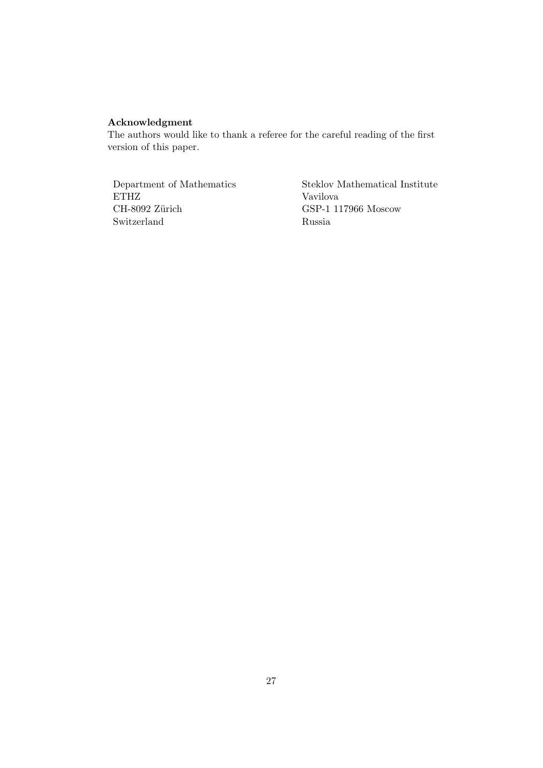## **Acknowledgment**

The authors would like to thank a referee for the careful reading of the first version of this paper.

ETHZ Vavilova CH-8092 Zürich Vavilova CH-8092 Zürich CSP-1 1 Switzerland Russia

Department of Mathematics Steklov Mathematical Institute GSP-1 117966 Moscow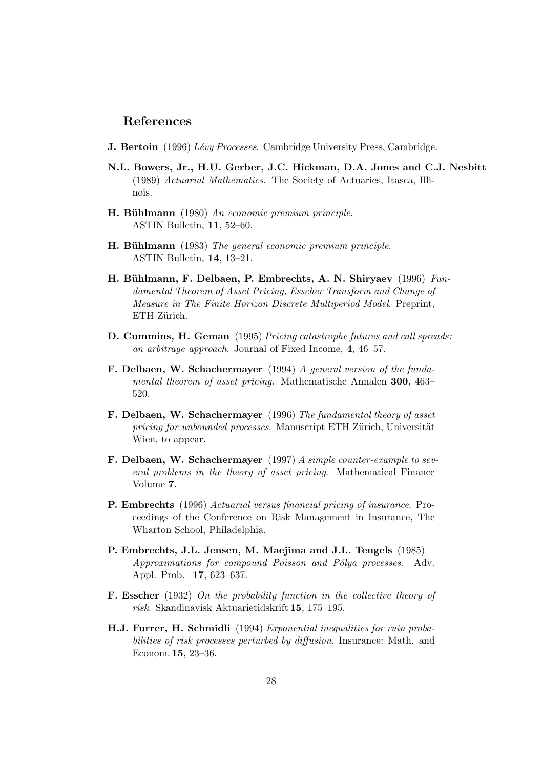## **References**

- **J. Bertoin** (1996) Lévy Processes. Cambridge University Press, Cambridge.
- **N.L. Bowers, Jr., H.U. Gerber, J.C. Hickman, D.A. Jones and C.J. Nesbitt** (1989) Actuarial Mathematics. The Society of Actuaries, Itasca, Illinois.
- **H. Bühlmann** (1980) An economic premium principle. ASTIN Bulletin, **11**, 52–60.
- **H. Bühlmann** (1983) The general economic premium principle. ASTIN Bulletin, **14**, 13–21.
- **H. B¨uhlmann, F. Delbaen, P. Embrechts, A. N. Shiryaev** (1996) Fundamental Theorem of Asset Pricing, Esscher Transform and Change of Measure in The Finite Horizon Discrete Multiperiod Model. Preprint, ETH Zürich.
- **D. Cummins, H. Geman** (1995) Pricing catastrophe futures and call spreads: an arbitrage approach. Journal of Fixed Income, **4**, 46–57.
- **F. Delbaen, W. Schachermayer** (1994) A general version of the fundamental theorem of asset pricing. Mathematische Annalen **300**, 463– 520.
- **F. Delbaen, W. Schachermayer** (1996) The fundamental theory of asset pricing for unbounded processes. Manuscript ETH Zürich, Universität Wien, to appear.
- **F. Delbaen, W. Schachermayer** (1997) A simple counter-example to several problems in the theory of asset pricing. Mathematical Finance Volume **7**.
- **P. Embrechts** (1996) Actuarial versus financial pricing of insurance. Proceedings of the Conference on Risk Management in Insurance, The Wharton School, Philadelphia.
- **P. Embrechts, J.L. Jensen, M. Maejima and J.L. Teugels** (1985) Approximations for compound Poisson and Pólya processes. Adv. Appl. Prob. **17**, 623–637.
- **F. Esscher** (1932) On the probability function in the collective theory of risk. Skandinavisk Aktuarietidskrift **15**, 175–195.
- **H.J. Furrer, H. Schmidli** (1994) Exponential inequalities for ruin probabilities of risk processes perturbed by diffusion. Insurance: Math. and Econom. **15**, 23–36.